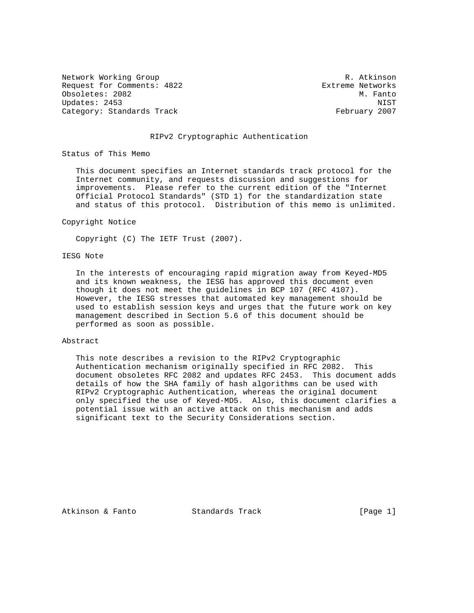Network Working Group and the set of the set of the set of the R. Atkinson Request for Comments: 4822 Extreme Networks Obsoletes: 2082 M. Fanto Updates: 2453 NIST Category: Standards Track February 2007

## RIPv2 Cryptographic Authentication

Status of This Memo

 This document specifies an Internet standards track protocol for the Internet community, and requests discussion and suggestions for improvements. Please refer to the current edition of the "Internet Official Protocol Standards" (STD 1) for the standardization state and status of this protocol. Distribution of this memo is unlimited.

#### Copyright Notice

Copyright (C) The IETF Trust (2007).

## IESG Note

 In the interests of encouraging rapid migration away from Keyed-MD5 and its known weakness, the IESG has approved this document even though it does not meet the guidelines in BCP 107 (RFC 4107). However, the IESG stresses that automated key management should be used to establish session keys and urges that the future work on key management described in Section 5.6 of this document should be performed as soon as possible.

## Abstract

 This note describes a revision to the RIPv2 Cryptographic Authentication mechanism originally specified in RFC 2082. This document obsoletes RFC 2082 and updates RFC 2453. This document adds details of how the SHA family of hash algorithms can be used with RIPv2 Cryptographic Authentication, whereas the original document only specified the use of Keyed-MD5. Also, this document clarifies a potential issue with an active attack on this mechanism and adds significant text to the Security Considerations section.

Atkinson & Fanto Standards Track [Page 1]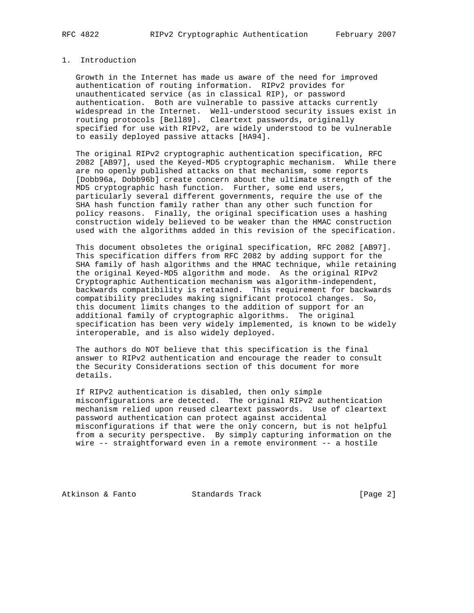# 1. Introduction

 Growth in the Internet has made us aware of the need for improved authentication of routing information. RIPv2 provides for unauthenticated service (as in classical RIP), or password authentication. Both are vulnerable to passive attacks currently widespread in the Internet. Well-understood security issues exist in routing protocols [Bell89]. Cleartext passwords, originally specified for use with RIPv2, are widely understood to be vulnerable to easily deployed passive attacks [HA94].

 The original RIPv2 cryptographic authentication specification, RFC 2082 [AB97], used the Keyed-MD5 cryptographic mechanism. While there are no openly published attacks on that mechanism, some reports [Dobb96a, Dobb96b] create concern about the ultimate strength of the MD5 cryptographic hash function. Further, some end users, particularly several different governments, require the use of the SHA hash function family rather than any other such function for policy reasons. Finally, the original specification uses a hashing construction widely believed to be weaker than the HMAC construction used with the algorithms added in this revision of the specification.

 This document obsoletes the original specification, RFC 2082 [AB97]. This specification differs from RFC 2082 by adding support for the SHA family of hash algorithms and the HMAC technique, while retaining the original Keyed-MD5 algorithm and mode. As the original RIPv2 Cryptographic Authentication mechanism was algorithm-independent, backwards compatibility is retained. This requirement for backwards compatibility precludes making significant protocol changes. So, this document limits changes to the addition of support for an additional family of cryptographic algorithms. The original specification has been very widely implemented, is known to be widely interoperable, and is also widely deployed.

 The authors do NOT believe that this specification is the final answer to RIPv2 authentication and encourage the reader to consult the Security Considerations section of this document for more details.

 If RIPv2 authentication is disabled, then only simple misconfigurations are detected. The original RIPv2 authentication mechanism relied upon reused cleartext passwords. Use of cleartext password authentication can protect against accidental misconfigurations if that were the only concern, but is not helpful from a security perspective. By simply capturing information on the wire -- straightforward even in a remote environment -- a hostile

Atkinson & Fanto Standards Track [Page 2]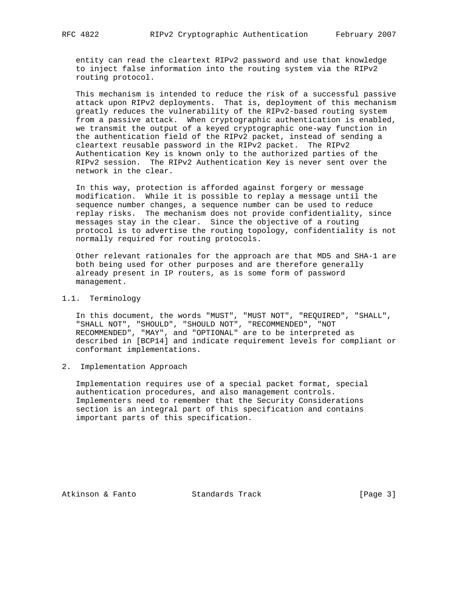entity can read the cleartext RIPv2 password and use that knowledge to inject false information into the routing system via the RIPv2 routing protocol.

 This mechanism is intended to reduce the risk of a successful passive attack upon RIPv2 deployments. That is, deployment of this mechanism greatly reduces the vulnerability of the RIPv2-based routing system from a passive attack. When cryptographic authentication is enabled, we transmit the output of a keyed cryptographic one-way function in the authentication field of the RIPv2 packet, instead of sending a cleartext reusable password in the RIPv2 packet. The RIPv2 Authentication Key is known only to the authorized parties of the RIPv2 session. The RIPv2 Authentication Key is never sent over the network in the clear.

 In this way, protection is afforded against forgery or message modification. While it is possible to replay a message until the sequence number changes, a sequence number can be used to reduce replay risks. The mechanism does not provide confidentiality, since messages stay in the clear. Since the objective of a routing protocol is to advertise the routing topology, confidentiality is not normally required for routing protocols.

 Other relevant rationales for the approach are that MD5 and SHA-1 are both being used for other purposes and are therefore generally already present in IP routers, as is some form of password management.

# 1.1. Terminology

 In this document, the words "MUST", "MUST NOT", "REQUIRED", "SHALL", "SHALL NOT", "SHOULD", "SHOULD NOT", "RECOMMENDED", "NOT RECOMMENDED", "MAY", and "OPTIONAL" are to be interpreted as described in [BCP14] and indicate requirement levels for compliant or conformant implementations.

# 2. Implementation Approach

 Implementation requires use of a special packet format, special authentication procedures, and also management controls. Implementers need to remember that the Security Considerations section is an integral part of this specification and contains important parts of this specification.

Atkinson & Fanto Standards Track [Page 3]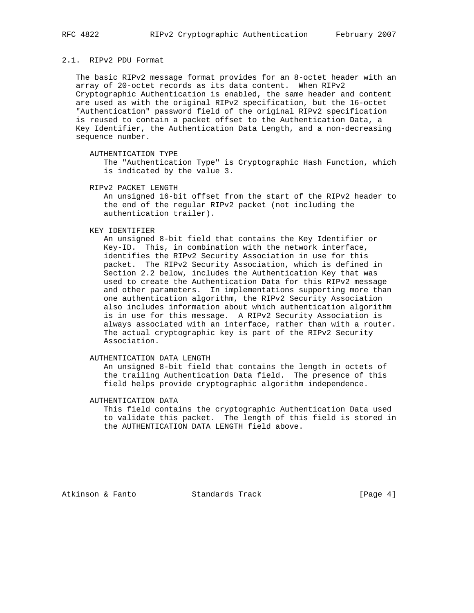## 2.1. RIPv2 PDU Format

 The basic RIPv2 message format provides for an 8-octet header with an array of 20-octet records as its data content. When RIPv2 Cryptographic Authentication is enabled, the same header and content are used as with the original RIPv2 specification, but the 16-octet "Authentication" password field of the original RIPv2 specification is reused to contain a packet offset to the Authentication Data, a Key Identifier, the Authentication Data Length, and a non-decreasing sequence number.

AUTHENTICATION TYPE

 The "Authentication Type" is Cryptographic Hash Function, which is indicated by the value 3.

RIPv2 PACKET LENGTH

 An unsigned 16-bit offset from the start of the RIPv2 header to the end of the regular RIPv2 packet (not including the authentication trailer).

KEY IDENTIFIER

 An unsigned 8-bit field that contains the Key Identifier or Key-ID. This, in combination with the network interface, identifies the RIPv2 Security Association in use for this packet. The RIPv2 Security Association, which is defined in Section 2.2 below, includes the Authentication Key that was used to create the Authentication Data for this RIPv2 message and other parameters. In implementations supporting more than one authentication algorithm, the RIPv2 Security Association also includes information about which authentication algorithm is in use for this message. A RIPv2 Security Association is always associated with an interface, rather than with a router. The actual cryptographic key is part of the RIPv2 Security Association.

AUTHENTICATION DATA LENGTH

 An unsigned 8-bit field that contains the length in octets of the trailing Authentication Data field. The presence of this field helps provide cryptographic algorithm independence.

AUTHENTICATION DATA

 This field contains the cryptographic Authentication Data used to validate this packet. The length of this field is stored in the AUTHENTICATION DATA LENGTH field above.

Atkinson & Fanto Standards Track [Page 4]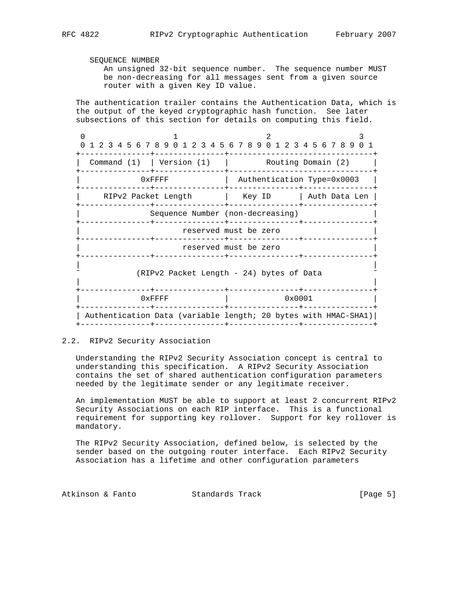SEQUENCE NUMBER

 An unsigned 32-bit sequence number. The sequence number MUST be non-decreasing for all messages sent from a given source router with a given Key ID value.

 The authentication trailer contains the Authentication Data, which is the output of the keyed cryptographic hash function. See later subsections of this section for details on computing this field.

0  $1$  2 3 0 1 2 3 4 5 6 7 8 9 0 1 2 3 4 5 6 7 8 9 0 1 2 3 4 5 6 7 8 9 0 1 +---------------+---------------+-------------------------------+ | Command (1) | Version (1) | Routing Domain (2) | +---------------+---------------+-------------------------------+ 0xFFFF | Authentication Type=0x0003 +---------------+---------------+---------------+---------------+ | RIPv2 Packet Length | Key ID | Auth Data Len | +---------------+---------------+---------------+---------------+ Sequence Number (non-decreasing) +---------------+---------------+---------------+---------------+ reserved must be zero +---------------+---------------+---------------+---------------+ reserved must be zero +---------------+---------------+---------------+---------------+ | | (RIPv2 Packet Length - 24) bytes of Data | | +---------------+---------------+---------------+---------------+  $0x$ FFFF $\qquad \qquad \vert$  0x0001 +---------------+---------------+---------------+---------------+ | Authentication Data (variable length; 20 bytes with HMAC-SHA1)| +---------------+---------------+---------------+---------------+

# 2.2. RIPv2 Security Association

 Understanding the RIPv2 Security Association concept is central to understanding this specification. A RIPv2 Security Association contains the set of shared authentication configuration parameters needed by the legitimate sender or any legitimate receiver.

 An implementation MUST be able to support at least 2 concurrent RIPv2 Security Associations on each RIP interface. This is a functional requirement for supporting key rollover. Support for key rollover is mandatory.

 The RIPv2 Security Association, defined below, is selected by the sender based on the outgoing router interface. Each RIPv2 Security Association has a lifetime and other configuration parameters

Atkinson & Fanto Standards Track [Page 5]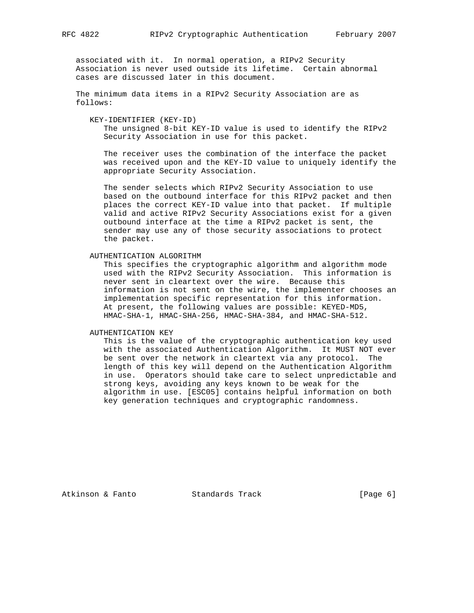associated with it. In normal operation, a RIPv2 Security Association is never used outside its lifetime. Certain abnormal cases are discussed later in this document.

 The minimum data items in a RIPv2 Security Association are as follows:

KEY-IDENTIFIER (KEY-ID)

 The unsigned 8-bit KEY-ID value is used to identify the RIPv2 Security Association in use for this packet.

 The receiver uses the combination of the interface the packet was received upon and the KEY-ID value to uniquely identify the appropriate Security Association.

 The sender selects which RIPv2 Security Association to use based on the outbound interface for this RIPv2 packet and then places the correct KEY-ID value into that packet. If multiple valid and active RIPv2 Security Associations exist for a given outbound interface at the time a RIPv2 packet is sent, the sender may use any of those security associations to protect the packet.

AUTHENTICATION ALGORITHM

 This specifies the cryptographic algorithm and algorithm mode used with the RIPv2 Security Association. This information is never sent in cleartext over the wire. Because this information is not sent on the wire, the implementer chooses an implementation specific representation for this information. At present, the following values are possible: KEYED-MD5, HMAC-SHA-1, HMAC-SHA-256, HMAC-SHA-384, and HMAC-SHA-512.

AUTHENTICATION KEY

 This is the value of the cryptographic authentication key used with the associated Authentication Algorithm. It MUST NOT ever be sent over the network in cleartext via any protocol. The length of this key will depend on the Authentication Algorithm in use. Operators should take care to select unpredictable and strong keys, avoiding any keys known to be weak for the algorithm in use. [ESC05] contains helpful information on both key generation techniques and cryptographic randomness.

Atkinson & Fanto Standards Track [Page 6]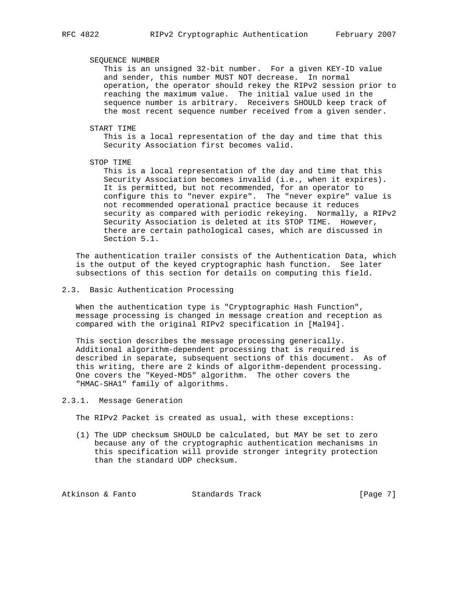### SEQUENCE NUMBER

 This is an unsigned 32-bit number. For a given KEY-ID value and sender, this number MUST NOT decrease. In normal operation, the operator should rekey the RIPv2 session prior to reaching the maximum value. The initial value used in the sequence number is arbitrary. Receivers SHOULD keep track of the most recent sequence number received from a given sender.

START TIME

 This is a local representation of the day and time that this Security Association first becomes valid.

STOP TIME

 This is a local representation of the day and time that this Security Association becomes invalid (i.e., when it expires). It is permitted, but not recommended, for an operator to configure this to "never expire". The "never expire" value is not recommended operational practice because it reduces security as compared with periodic rekeying. Normally, a RIPv2 Security Association is deleted at its STOP TIME. However, there are certain pathological cases, which are discussed in Section 5.1.

 The authentication trailer consists of the Authentication Data, which is the output of the keyed cryptographic hash function. See later subsections of this section for details on computing this field.

2.3. Basic Authentication Processing

 When the authentication type is "Cryptographic Hash Function", message processing is changed in message creation and reception as compared with the original RIPv2 specification in [Mal94].

 This section describes the message processing generically. Additional algorithm-dependent processing that is required is described in separate, subsequent sections of this document. As of this writing, there are 2 kinds of algorithm-dependent processing. One covers the "Keyed-MD5" algorithm. The other covers the "HMAC-SHA1" family of algorithms.

2.3.1. Message Generation

The RIPv2 Packet is created as usual, with these exceptions:

 (1) The UDP checksum SHOULD be calculated, but MAY be set to zero because any of the cryptographic authentication mechanisms in this specification will provide stronger integrity protection than the standard UDP checksum.

Atkinson & Fanto Standards Track [Page 7]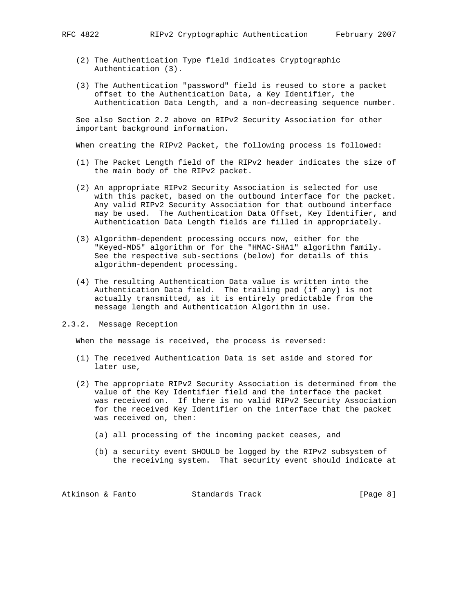- - (2) The Authentication Type field indicates Cryptographic Authentication (3).
	- (3) The Authentication "password" field is reused to store a packet offset to the Authentication Data, a Key Identifier, the Authentication Data Length, and a non-decreasing sequence number.

 See also Section 2.2 above on RIPv2 Security Association for other important background information.

When creating the RIPv2 Packet, the following process is followed:

- (1) The Packet Length field of the RIPv2 header indicates the size of the main body of the RIPv2 packet.
- (2) An appropriate RIPv2 Security Association is selected for use with this packet, based on the outbound interface for the packet. Any valid RIPv2 Security Association for that outbound interface may be used. The Authentication Data Offset, Key Identifier, and Authentication Data Length fields are filled in appropriately.
- (3) Algorithm-dependent processing occurs now, either for the "Keyed-MD5" algorithm or for the "HMAC-SHA1" algorithm family. See the respective sub-sections (below) for details of this algorithm-dependent processing.
- (4) The resulting Authentication Data value is written into the Authentication Data field. The trailing pad (if any) is not actually transmitted, as it is entirely predictable from the message length and Authentication Algorithm in use.
- 2.3.2. Message Reception

When the message is received, the process is reversed:

- (1) The received Authentication Data is set aside and stored for later use,
- (2) The appropriate RIPv2 Security Association is determined from the value of the Key Identifier field and the interface the packet was received on. If there is no valid RIPv2 Security Association for the received Key Identifier on the interface that the packet was received on, then:
	- (a) all processing of the incoming packet ceases, and
	- (b) a security event SHOULD be logged by the RIPv2 subsystem of the receiving system. That security event should indicate at

Atkinson & Fanto Standards Track [Page 8]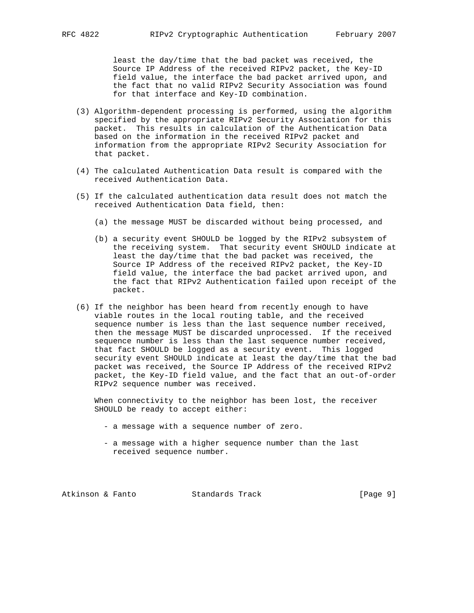least the day/time that the bad packet was received, the Source IP Address of the received RIPv2 packet, the Key-ID field value, the interface the bad packet arrived upon, and the fact that no valid RIPv2 Security Association was found for that interface and Key-ID combination.

- (3) Algorithm-dependent processing is performed, using the algorithm specified by the appropriate RIPv2 Security Association for this packet. This results in calculation of the Authentication Data based on the information in the received RIPv2 packet and information from the appropriate RIPv2 Security Association for that packet.
- (4) The calculated Authentication Data result is compared with the received Authentication Data.
- (5) If the calculated authentication data result does not match the received Authentication Data field, then:
	- (a) the message MUST be discarded without being processed, and
	- (b) a security event SHOULD be logged by the RIPv2 subsystem of the receiving system. That security event SHOULD indicate at least the day/time that the bad packet was received, the Source IP Address of the received RIPv2 packet, the Key-ID field value, the interface the bad packet arrived upon, and the fact that RIPv2 Authentication failed upon receipt of the packet.
- (6) If the neighbor has been heard from recently enough to have viable routes in the local routing table, and the received sequence number is less than the last sequence number received, then the message MUST be discarded unprocessed. If the received sequence number is less than the last sequence number received, that fact SHOULD be logged as a security event. This logged security event SHOULD indicate at least the day/time that the bad packet was received, the Source IP Address of the received RIPv2 packet, the Key-ID field value, and the fact that an out-of-order RIPv2 sequence number was received.

 When connectivity to the neighbor has been lost, the receiver SHOULD be ready to accept either:

- a message with a sequence number of zero.
- a message with a higher sequence number than the last received sequence number.

Atkinson & Fanto Standards Track [Page 9]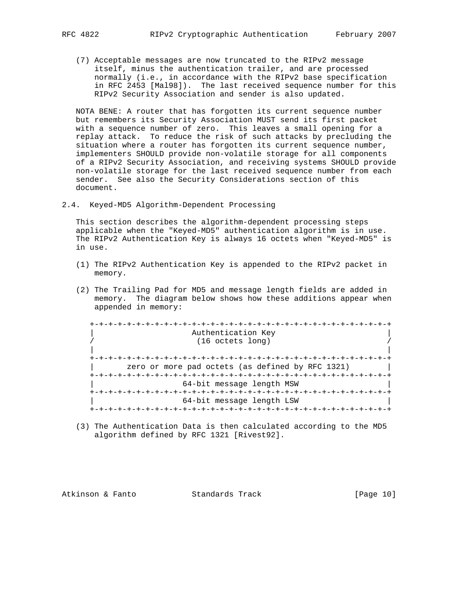(7) Acceptable messages are now truncated to the RIPv2 message itself, minus the authentication trailer, and are processed normally (i.e., in accordance with the RIPv2 base specification in RFC 2453 [Mal98]). The last received sequence number for this RIPv2 Security Association and sender is also updated.

 NOTA BENE: A router that has forgotten its current sequence number but remembers its Security Association MUST send its first packet with a sequence number of zero. This leaves a small opening for a replay attack. To reduce the risk of such attacks by precluding the situation where a router has forgotten its current sequence number, implementers SHOULD provide non-volatile storage for all components of a RIPv2 Security Association, and receiving systems SHOULD provide non-volatile storage for the last received sequence number from each sender. See also the Security Considerations section of this document.

2.4. Keyed-MD5 Algorithm-Dependent Processing

 This section describes the algorithm-dependent processing steps applicable when the "Keyed-MD5" authentication algorithm is in use. The RIPv2 Authentication Key is always 16 octets when "Keyed-MD5" is in use.

- (1) The RIPv2 Authentication Key is appended to the RIPv2 packet in memory.
- (2) The Trailing Pad for MD5 and message length fields are added in memory. The diagram below shows how these additions appear when appended in memory:

| Authentication Key                               |  |
|--------------------------------------------------|--|
| $(16$ octets long)                               |  |
|                                                  |  |
|                                                  |  |
| zero or more pad octets (as defined by RFC 1321) |  |
|                                                  |  |
| 64-bit message length MSW                        |  |
|                                                  |  |
| 64-bit message length LSW                        |  |
|                                                  |  |

 (3) The Authentication Data is then calculated according to the MD5 algorithm defined by RFC 1321 [Rivest92].

Atkinson & Fanto Standards Track [Page 10]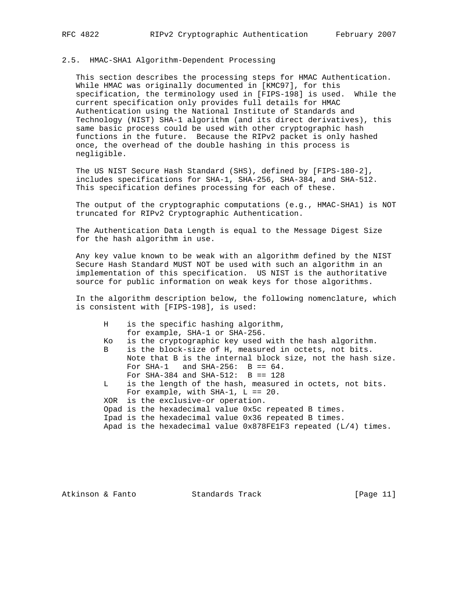## 2.5. HMAC-SHA1 Algorithm-Dependent Processing

 This section describes the processing steps for HMAC Authentication. While HMAC was originally documented in [KMC97], for this specification, the terminology used in [FIPS-198] is used. While the current specification only provides full details for HMAC Authentication using the National Institute of Standards and Technology (NIST) SHA-1 algorithm (and its direct derivatives), this same basic process could be used with other cryptographic hash functions in the future. Because the RIPv2 packet is only hashed once, the overhead of the double hashing in this process is negligible.

 The US NIST Secure Hash Standard (SHS), defined by [FIPS-180-2], includes specifications for SHA-1, SHA-256, SHA-384, and SHA-512. This specification defines processing for each of these.

 The output of the cryptographic computations (e.g., HMAC-SHA1) is NOT truncated for RIPv2 Cryptographic Authentication.

 The Authentication Data Length is equal to the Message Digest Size for the hash algorithm in use.

 Any key value known to be weak with an algorithm defined by the NIST Secure Hash Standard MUST NOT be used with such an algorithm in an implementation of this specification. US NIST is the authoritative source for public information on weak keys for those algorithms.

 In the algorithm description below, the following nomenclature, which is consistent with [FIPS-198], is used:

| H.  | is the specific hashing algorithm,                                 |
|-----|--------------------------------------------------------------------|
|     | for example, SHA-1 or SHA-256.                                     |
| Ko. | is the cryptographic key used with the hash algorithm.             |
| B   | is the block-size of H, measured in octets, not bits.              |
|     | Note that B is the internal block size, not the hash size.         |
|     | For SHA-1 and SHA-256: $B == 64$ .                                 |
|     | For SHA-384 and SHA-512: $B == 128$                                |
| L   | is the length of the hash, measured in octets, not bits.           |
|     | For example, with SHA-1, $L == 20$ .                               |
|     | XOR is the exclusive-or operation.                                 |
|     | Opad is the hexadecimal value 0x5c repeated B times.               |
|     | Ipad is the hexadecimal value 0x36 repeated B times.               |
|     | Apad is the hexadecimal value $0x878FE1F3$ repeated $(L/4)$ times. |
|     |                                                                    |

Atkinson & Fanto Standards Track [Page 11]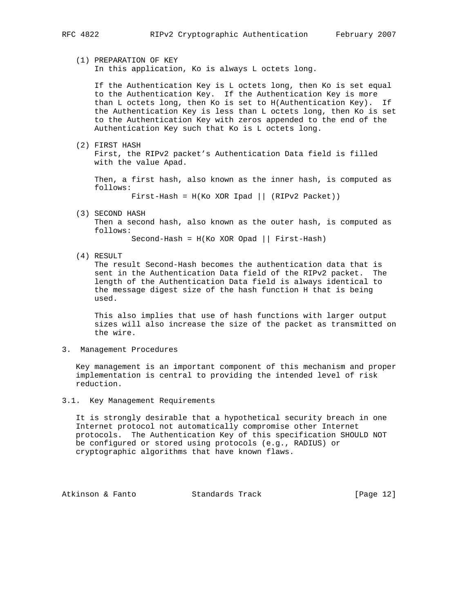## (1) PREPARATION OF KEY In this application, Ko is always L octets long.

 If the Authentication Key is L octets long, then Ko is set equal to the Authentication Key. If the Authentication Key is more than L octets long, then Ko is set to H(Authentication Key). If the Authentication Key is less than L octets long, then Ko is set to the Authentication Key with zeros appended to the end of the Authentication Key such that Ko is L octets long.

 (2) FIRST HASH First, the RIPv2 packet's Authentication Data field is filled with the value Apad.

 Then, a first hash, also known as the inner hash, is computed as follows:

First-Hash =  $H(Ko XOR Ipad || (RIPv2 Packet))$ 

(3) SECOND HASH

 Then a second hash, also known as the outer hash, is computed as follows:

Second-Hash = H(Ko XOR Opad || First-Hash)

(4) RESULT

 The result Second-Hash becomes the authentication data that is sent in the Authentication Data field of the RIPv2 packet. The length of the Authentication Data field is always identical to the message digest size of the hash function H that is being used.

 This also implies that use of hash functions with larger output sizes will also increase the size of the packet as transmitted on the wire.

3. Management Procedures

 Key management is an important component of this mechanism and proper implementation is central to providing the intended level of risk reduction.

3.1. Key Management Requirements

 It is strongly desirable that a hypothetical security breach in one Internet protocol not automatically compromise other Internet protocols. The Authentication Key of this specification SHOULD NOT be configured or stored using protocols (e.g., RADIUS) or cryptographic algorithms that have known flaws.

Atkinson & Fanto Standards Track [Page 12]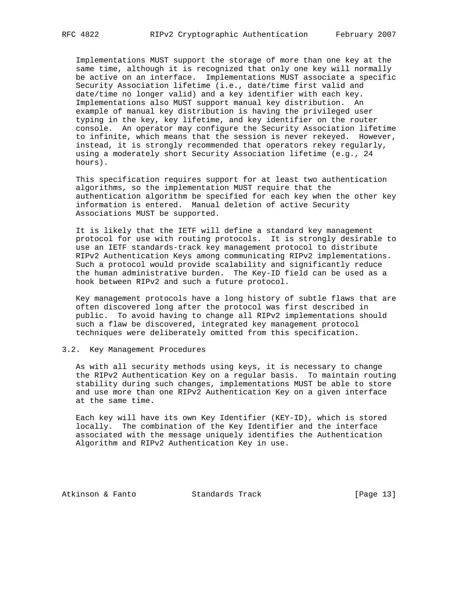Implementations MUST support the storage of more than one key at the same time, although it is recognized that only one key will normally be active on an interface. Implementations MUST associate a specific Security Association lifetime (i.e., date/time first valid and date/time no longer valid) and a key identifier with each key. Implementations also MUST support manual key distribution. An example of manual key distribution is having the privileged user typing in the key, key lifetime, and key identifier on the router console. An operator may configure the Security Association lifetime to infinite, which means that the session is never rekeyed. However, instead, it is strongly recommended that operators rekey regularly, using a moderately short Security Association lifetime (e.g., 24 hours).

 This specification requires support for at least two authentication algorithms, so the implementation MUST require that the authentication algorithm be specified for each key when the other key information is entered. Manual deletion of active Security Associations MUST be supported.

 It is likely that the IETF will define a standard key management protocol for use with routing protocols. It is strongly desirable to use an IETF standards-track key management protocol to distribute RIPv2 Authentication Keys among communicating RIPv2 implementations. Such a protocol would provide scalability and significantly reduce the human administrative burden. The Key-ID field can be used as a hook between RIPv2 and such a future protocol.

 Key management protocols have a long history of subtle flaws that are often discovered long after the protocol was first described in public. To avoid having to change all RIPv2 implementations should such a flaw be discovered, integrated key management protocol techniques were deliberately omitted from this specification.

## 3.2. Key Management Procedures

 As with all security methods using keys, it is necessary to change the RIPv2 Authentication Key on a regular basis. To maintain routing stability during such changes, implementations MUST be able to store and use more than one RIPv2 Authentication Key on a given interface at the same time.

 Each key will have its own Key Identifier (KEY-ID), which is stored locally. The combination of the Key Identifier and the interface associated with the message uniquely identifies the Authentication Algorithm and RIPv2 Authentication Key in use.

Atkinson & Fanto Standards Track [Page 13]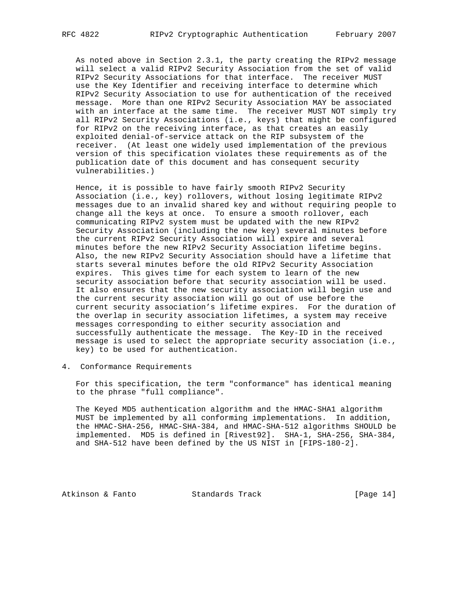As noted above in Section 2.3.1, the party creating the RIPv2 message will select a valid RIPv2 Security Association from the set of valid RIPv2 Security Associations for that interface. The receiver MUST use the Key Identifier and receiving interface to determine which RIPv2 Security Association to use for authentication of the received message. More than one RIPv2 Security Association MAY be associated with an interface at the same time. The receiver MUST NOT simply try all RIPv2 Security Associations (i.e., keys) that might be configured for RIPv2 on the receiving interface, as that creates an easily exploited denial-of-service attack on the RIP subsystem of the receiver. (At least one widely used implementation of the previous version of this specification violates these requirements as of the publication date of this document and has consequent security vulnerabilities.)

 Hence, it is possible to have fairly smooth RIPv2 Security Association (i.e., key) rollovers, without losing legitimate RIPv2 messages due to an invalid shared key and without requiring people to change all the keys at once. To ensure a smooth rollover, each communicating RIPv2 system must be updated with the new RIPv2 Security Association (including the new key) several minutes before the current RIPv2 Security Association will expire and several minutes before the new RIPv2 Security Association lifetime begins. Also, the new RIPv2 Security Association should have a lifetime that starts several minutes before the old RIPv2 Security Association expires. This gives time for each system to learn of the new security association before that security association will be used. It also ensures that the new security association will begin use and the current security association will go out of use before the current security association's lifetime expires. For the duration of the overlap in security association lifetimes, a system may receive messages corresponding to either security association and successfully authenticate the message. The Key-ID in the received message is used to select the appropriate security association (i.e., key) to be used for authentication.

4. Conformance Requirements

 For this specification, the term "conformance" has identical meaning to the phrase "full compliance".

 The Keyed MD5 authentication algorithm and the HMAC-SHA1 algorithm MUST be implemented by all conforming implementations. In addition, the HMAC-SHA-256, HMAC-SHA-384, and HMAC-SHA-512 algorithms SHOULD be implemented. MD5 is defined in [Rivest92]. SHA-1, SHA-256, SHA-384, and SHA-512 have been defined by the US NIST in [FIPS-180-2].

Atkinson & Fanto Standards Track [Page 14]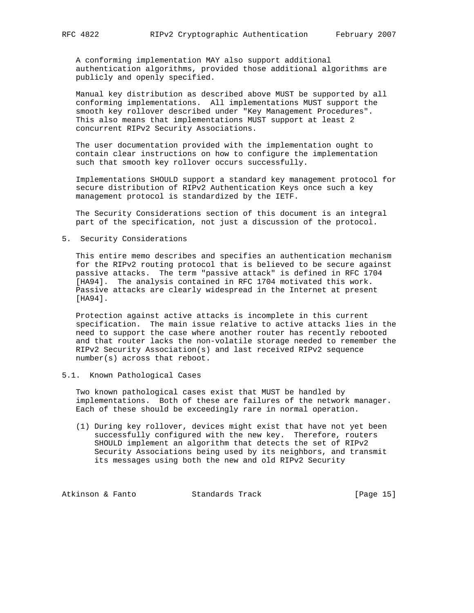A conforming implementation MAY also support additional authentication algorithms, provided those additional algorithms are publicly and openly specified.

 Manual key distribution as described above MUST be supported by all conforming implementations. All implementations MUST support the smooth key rollover described under "Key Management Procedures". This also means that implementations MUST support at least 2 concurrent RIPv2 Security Associations.

 The user documentation provided with the implementation ought to contain clear instructions on how to configure the implementation such that smooth key rollover occurs successfully.

 Implementations SHOULD support a standard key management protocol for secure distribution of RIPv2 Authentication Keys once such a key management protocol is standardized by the IETF.

 The Security Considerations section of this document is an integral part of the specification, not just a discussion of the protocol.

5. Security Considerations

 This entire memo describes and specifies an authentication mechanism for the RIPv2 routing protocol that is believed to be secure against passive attacks. The term "passive attack" is defined in RFC 1704 [HA94]. The analysis contained in RFC 1704 motivated this work. Passive attacks are clearly widespread in the Internet at present [HA94].

 Protection against active attacks is incomplete in this current specification. The main issue relative to active attacks lies in the need to support the case where another router has recently rebooted and that router lacks the non-volatile storage needed to remember the RIPv2 Security Association(s) and last received RIPv2 sequence number(s) across that reboot.

## 5.1. Known Pathological Cases

 Two known pathological cases exist that MUST be handled by implementations. Both of these are failures of the network manager. Each of these should be exceedingly rare in normal operation.

 (1) During key rollover, devices might exist that have not yet been successfully configured with the new key. Therefore, routers SHOULD implement an algorithm that detects the set of RIPv2 Security Associations being used by its neighbors, and transmit its messages using both the new and old RIPv2 Security

Atkinson & Fanto Standards Track [Page 15]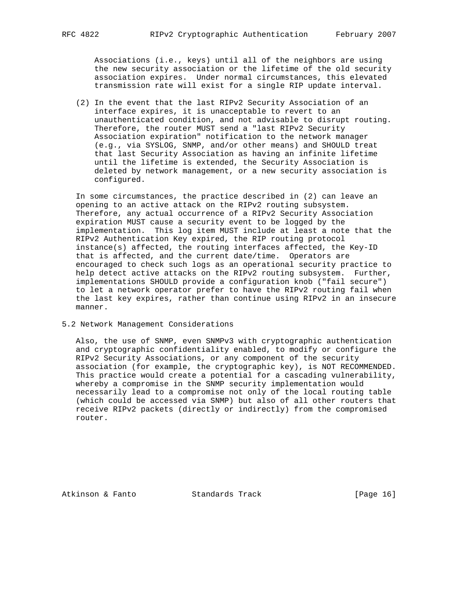Associations (i.e., keys) until all of the neighbors are using the new security association or the lifetime of the old security association expires. Under normal circumstances, this elevated transmission rate will exist for a single RIP update interval.

 (2) In the event that the last RIPv2 Security Association of an interface expires, it is unacceptable to revert to an unauthenticated condition, and not advisable to disrupt routing. Therefore, the router MUST send a "last RIPv2 Security Association expiration" notification to the network manager (e.g., via SYSLOG, SNMP, and/or other means) and SHOULD treat that last Security Association as having an infinite lifetime until the lifetime is extended, the Security Association is deleted by network management, or a new security association is configured.

 In some circumstances, the practice described in (2) can leave an opening to an active attack on the RIPv2 routing subsystem. Therefore, any actual occurrence of a RIPv2 Security Association expiration MUST cause a security event to be logged by the implementation. This log item MUST include at least a note that the RIPv2 Authentication Key expired, the RIP routing protocol instance(s) affected, the routing interfaces affected, the Key-ID that is affected, and the current date/time. Operators are encouraged to check such logs as an operational security practice to help detect active attacks on the RIPv2 routing subsystem. Further, implementations SHOULD provide a configuration knob ("fail secure") to let a network operator prefer to have the RIPv2 routing fail when the last key expires, rather than continue using RIPv2 in an insecure manner.

5.2 Network Management Considerations

 Also, the use of SNMP, even SNMPv3 with cryptographic authentication and cryptographic confidentiality enabled, to modify or configure the RIPv2 Security Associations, or any component of the security association (for example, the cryptographic key), is NOT RECOMMENDED. This practice would create a potential for a cascading vulnerability, whereby a compromise in the SNMP security implementation would necessarily lead to a compromise not only of the local routing table (which could be accessed via SNMP) but also of all other routers that receive RIPv2 packets (directly or indirectly) from the compromised router.

Atkinson & Fanto Standards Track [Page 16]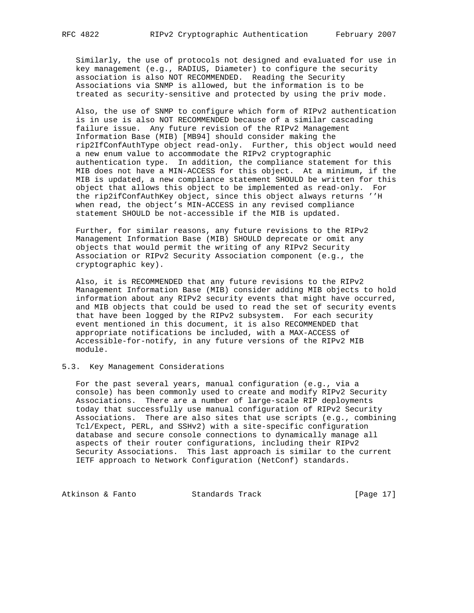Similarly, the use of protocols not designed and evaluated for use in key management (e.g., RADIUS, Diameter) to configure the security association is also NOT RECOMMENDED. Reading the Security Associations via SNMP is allowed, but the information is to be treated as security-sensitive and protected by using the priv mode.

 Also, the use of SNMP to configure which form of RIPv2 authentication is in use is also NOT RECOMMENDED because of a similar cascading failure issue. Any future revision of the RIPv2 Management Information Base (MIB) [MB94] should consider making the rip2IfConfAuthType object read-only. Further, this object would need a new enum value to accommodate the RIPv2 cryptographic authentication type. In addition, the compliance statement for this MIB does not have a MIN-ACCESS for this object. At a minimum, if the MIB is updated, a new compliance statement SHOULD be written for this object that allows this object to be implemented as read-only. For the rip2ifConfAuthKey object, since this object always returns ''H when read, the object's MIN-ACCESS in any revised compliance statement SHOULD be not-accessible if the MIB is updated.

 Further, for similar reasons, any future revisions to the RIPv2 Management Information Base (MIB) SHOULD deprecate or omit any objects that would permit the writing of any RIPv2 Security Association or RIPv2 Security Association component (e.g., the cryptographic key).

 Also, it is RECOMMENDED that any future revisions to the RIPv2 Management Information Base (MIB) consider adding MIB objects to hold information about any RIPv2 security events that might have occurred, and MIB objects that could be used to read the set of security events that have been logged by the RIPv2 subsystem. For each security event mentioned in this document, it is also RECOMMENDED that appropriate notifications be included, with a MAX-ACCESS of Accessible-for-notify, in any future versions of the RIPv2 MIB module.

## 5.3. Key Management Considerations

 For the past several years, manual configuration (e.g., via a console) has been commonly used to create and modify RIPv2 Security Associations. There are a number of large-scale RIP deployments today that successfully use manual configuration of RIPv2 Security Associations. There are also sites that use scripts (e.g., combining Tcl/Expect, PERL, and SSHv2) with a site-specific configuration database and secure console connections to dynamically manage all aspects of their router configurations, including their RIPv2 Security Associations. This last approach is similar to the current IETF approach to Network Configuration (NetConf) standards.

Atkinson & Fanto Standards Track [Page 17]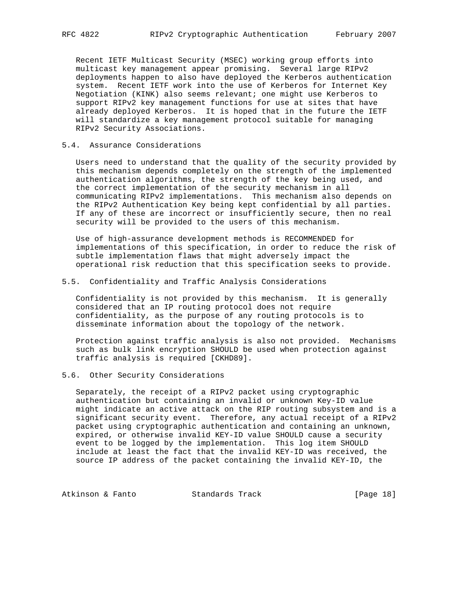Recent IETF Multicast Security (MSEC) working group efforts into multicast key management appear promising. Several large RIPv2 deployments happen to also have deployed the Kerberos authentication system. Recent IETF work into the use of Kerberos for Internet Key Negotiation (KINK) also seems relevant; one might use Kerberos to support RIPv2 key management functions for use at sites that have already deployed Kerberos. It is hoped that in the future the IETF will standardize a key management protocol suitable for managing RIPv2 Security Associations.

## 5.4. Assurance Considerations

 Users need to understand that the quality of the security provided by this mechanism depends completely on the strength of the implemented authentication algorithms, the strength of the key being used, and the correct implementation of the security mechanism in all communicating RIPv2 implementations. This mechanism also depends on the RIPv2 Authentication Key being kept confidential by all parties. If any of these are incorrect or insufficiently secure, then no real security will be provided to the users of this mechanism.

 Use of high-assurance development methods is RECOMMENDED for implementations of this specification, in order to reduce the risk of subtle implementation flaws that might adversely impact the operational risk reduction that this specification seeks to provide.

## 5.5. Confidentiality and Traffic Analysis Considerations

 Confidentiality is not provided by this mechanism. It is generally considered that an IP routing protocol does not require confidentiality, as the purpose of any routing protocols is to disseminate information about the topology of the network.

 Protection against traffic analysis is also not provided. Mechanisms such as bulk link encryption SHOULD be used when protection against traffic analysis is required [CKHD89].

## 5.6. Other Security Considerations

 Separately, the receipt of a RIPv2 packet using cryptographic authentication but containing an invalid or unknown Key-ID value might indicate an active attack on the RIP routing subsystem and is a significant security event. Therefore, any actual receipt of a RIPv2 packet using cryptographic authentication and containing an unknown, expired, or otherwise invalid KEY-ID value SHOULD cause a security event to be logged by the implementation. This log item SHOULD include at least the fact that the invalid KEY-ID was received, the source IP address of the packet containing the invalid KEY-ID, the

Atkinson & Fanto Standards Track [Page 18]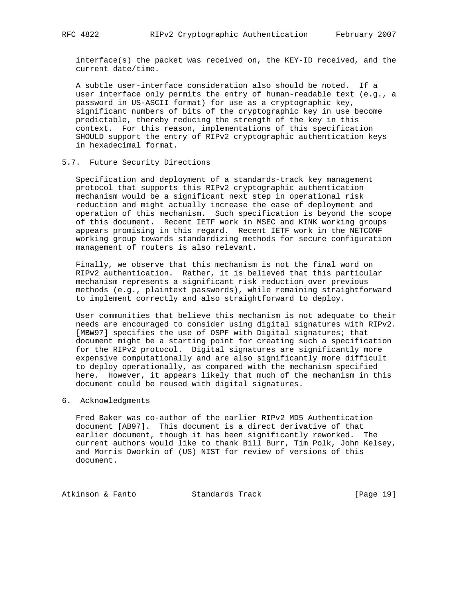interface(s) the packet was received on, the KEY-ID received, and the current date/time.

 A subtle user-interface consideration also should be noted. If a user interface only permits the entry of human-readable text (e.g., a password in US-ASCII format) for use as a cryptographic key, significant numbers of bits of the cryptographic key in use become predictable, thereby reducing the strength of the key in this context. For this reason, implementations of this specification SHOULD support the entry of RIPv2 cryptographic authentication keys in hexadecimal format.

## 5.7. Future Security Directions

 Specification and deployment of a standards-track key management protocol that supports this RIPv2 cryptographic authentication mechanism would be a significant next step in operational risk reduction and might actually increase the ease of deployment and operation of this mechanism. Such specification is beyond the scope of this document. Recent IETF work in MSEC and KINK working groups appears promising in this regard. Recent IETF work in the NETCONF working group towards standardizing methods for secure configuration management of routers is also relevant.

 Finally, we observe that this mechanism is not the final word on RIPv2 authentication. Rather, it is believed that this particular mechanism represents a significant risk reduction over previous methods (e.g., plaintext passwords), while remaining straightforward to implement correctly and also straightforward to deploy.

 User communities that believe this mechanism is not adequate to their needs are encouraged to consider using digital signatures with RIPv2. [MBW97] specifies the use of OSPF with Digital signatures; that document might be a starting point for creating such a specification for the RIPv2 protocol. Digital signatures are significantly more expensive computationally and are also significantly more difficult to deploy operationally, as compared with the mechanism specified here. However, it appears likely that much of the mechanism in this document could be reused with digital signatures.

6. Acknowledgments

 Fred Baker was co-author of the earlier RIPv2 MD5 Authentication document [AB97]. This document is a direct derivative of that earlier document, though it has been significantly reworked. The current authors would like to thank Bill Burr, Tim Polk, John Kelsey, and Morris Dworkin of (US) NIST for review of versions of this document.

Atkinson & Fanto Standards Track [Page 19]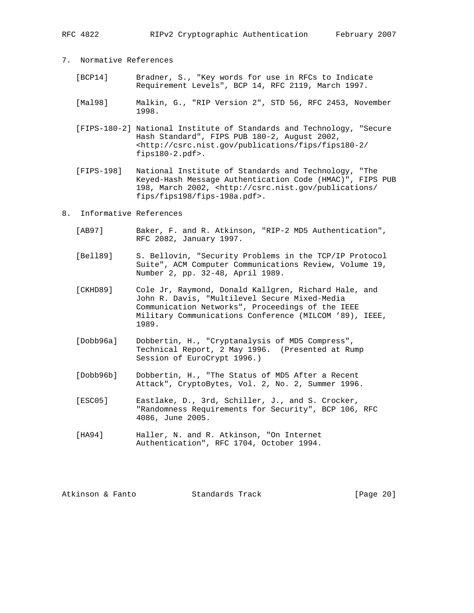- 7. Normative References
	- [BCP14] Bradner, S., "Key words for use in RFCs to Indicate Requirement Levels", BCP 14, RFC 2119, March 1997.
	- [Mal98] Malkin, G., "RIP Version 2", STD 56, RFC 2453, November 1998.
	- [FIPS-180-2] National Institute of Standards and Technology, "Secure Hash Standard", FIPS PUB 180-2, August 2002, <http://csrc.nist.gov/publications/fips/fips180-2/ fips180-2.pdf>.
	- [FIPS-198] National Institute of Standards and Technology, "The Keyed-Hash Message Authentication Code (HMAC)", FIPS PUB 198, March 2002, <http://csrc.nist.gov/publications/ fips/fips198/fips-198a.pdf>.
- 8. Informative References
	- [AB97] Baker, F. and R. Atkinson, "RIP-2 MD5 Authentication", RFC 2082, January 1997.
	- [Bell89] S. Bellovin, "Security Problems in the TCP/IP Protocol Suite", ACM Computer Communications Review, Volume 19, Number 2, pp. 32-48, April 1989.
	- [CKHD89] Cole Jr, Raymond, Donald Kallgren, Richard Hale, and John R. Davis, "Multilevel Secure Mixed-Media Communication Networks", Proceedings of the IEEE Military Communications Conference (MILCOM '89), IEEE, 1989.
	- [Dobb96a] Dobbertin, H., "Cryptanalysis of MD5 Compress", Technical Report, 2 May 1996. (Presented at Rump Session of EuroCrypt 1996.)
	- [Dobb96b] Dobbertin, H., "The Status of MD5 After a Recent Attack", CryptoBytes, Vol. 2, No. 2, Summer 1996.
	- [ESC05] Eastlake, D., 3rd, Schiller, J., and S. Crocker, "Randomness Requirements for Security", BCP 106, RFC 4086, June 2005.
	- [HA94] Haller, N. and R. Atkinson, "On Internet Authentication", RFC 1704, October 1994.

Atkinson & Fanto Standards Track [Page 20]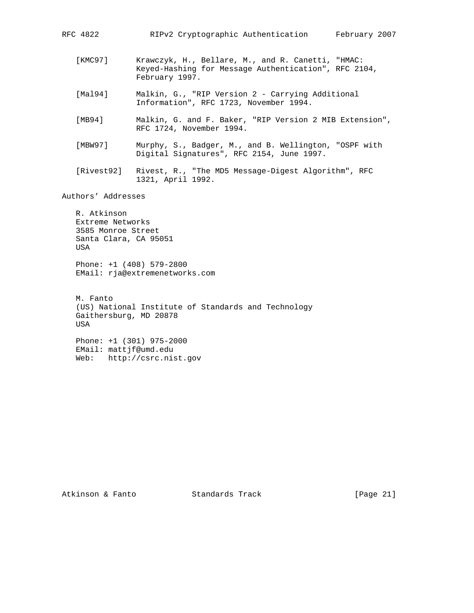| RFC 4822 | RIPv2 Cryptographic Authentication<br>February 2007                                                                         |
|----------|-----------------------------------------------------------------------------------------------------------------------------|
| [KMC97]  | Krawczyk, H., Bellare, M., and R. Canetti, "HMAC:<br>Keyed-Hashing for Message Authentication", RFC 2104,<br>February 1997. |
| [Mal94]  | Malkin, G., "RIP Version 2 - Carrying Additional<br>Information", RFC 1723, November 1994.                                  |
| [MB94]   | Malkin, G. and F. Baker, "RIP Version 2 MIB Extension",<br>RFC 1724, November 1994.                                         |
| 「MBW97]  | Murphy, S., Badger, M., and B. Wellington, "OSPF with<br>Digital Signatures", RFC 2154, June 1997.                          |

 [Rivest92] Rivest, R., "The MD5 Message-Digest Algorithm", RFC 1321, April 1992.

Authors' Addresses

 R. Atkinson Extreme Networks 3585 Monroe Street Santa Clara, CA 95051 USA Phone: +1 (408) 579-2800 EMail: rja@extremenetworks.com M. Fanto

 (US) National Institute of Standards and Technology Gaithersburg, MD 20878 USA Phone: +1 (301) 975-2000

 EMail: mattjf@umd.edu Web: http://csrc.nist.gov